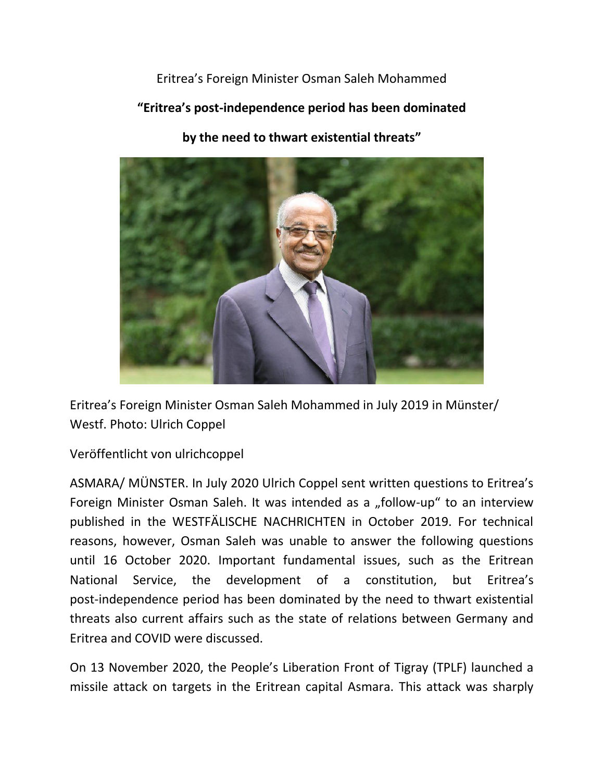Eritrea's Foreign Minister Osman Saleh Mohammed

**"Eritrea's post-independence period has been dominated** 

**by the need to thwart existential threats"**



Eritrea's Foreign Minister Osman Saleh Mohammed in July 2019 in Münster/ Westf. Photo: Ulrich Coppel

Veröffentlicht von ulrichcoppel

ASMARA/ MÜNSTER. In July 2020 Ulrich Coppel sent written questions to Eritrea's Foreign Minister Osman Saleh. It was intended as a "follow-up" to an interview published in the WESTFÄLISCHE NACHRICHTEN in October 2019. For technical reasons, however, Osman Saleh was unable to answer the following questions until 16 October 2020. Important fundamental issues, such as the Eritrean National Service, the development of a constitution, but Eritrea's post-independence period has been dominated by the need to thwart existential threats also current affairs such as the state of relations between Germany and Eritrea and COVID were discussed.

On 13 November 2020, the People's Liberation Front of Tigray (TPLF) launched a missile attack on targets in the Eritrean capital Asmara. This attack was sharply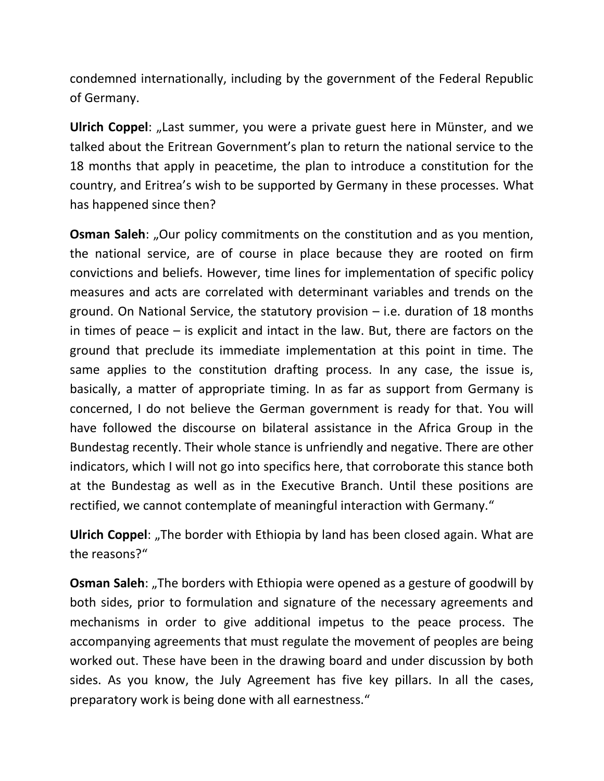condemned internationally, including by the government of the Federal Republic of Germany.

**Ulrich Coppel:** "Last summer, you were a private guest here in Münster, and we talked about the Eritrean Government's plan to return the national service to the 18 months that apply in peacetime, the plan to introduce a constitution for the country, and Eritrea's wish to be supported by Germany in these processes. What has happened since then?

**Osman Saleh:** "Our policy commitments on the constitution and as you mention, the national service, are of course in place because they are rooted on firm convictions and beliefs. However, time lines for implementation of specific policy measures and acts are correlated with determinant variables and trends on the ground. On National Service, the statutory provision  $-$  i.e. duration of 18 months in times of peace – is explicit and intact in the law. But, there are factors on the ground that preclude its immediate implementation at this point in time. The same applies to the constitution drafting process. In any case, the issue is, basically, a matter of appropriate timing. In as far as support from Germany is concerned, I do not believe the German government is ready for that. You will have followed the discourse on bilateral assistance in the Africa Group in the Bundestag recently. Their whole stance is unfriendly and negative. There are other indicators, which I will not go into specifics here, that corroborate this stance both at the Bundestag as well as in the Executive Branch. Until these positions are rectified, we cannot contemplate of meaningful interaction with Germany."

**Ulrich Coppel:** "The border with Ethiopia by land has been closed again. What are the reasons?"

**Osman Saleh:** "The borders with Ethiopia were opened as a gesture of goodwill by both sides, prior to formulation and signature of the necessary agreements and mechanisms in order to give additional impetus to the peace process. The accompanying agreements that must regulate the movement of peoples are being worked out. These have been in the drawing board and under discussion by both sides. As you know, the July Agreement has five key pillars. In all the cases, preparatory work is being done with all earnestness."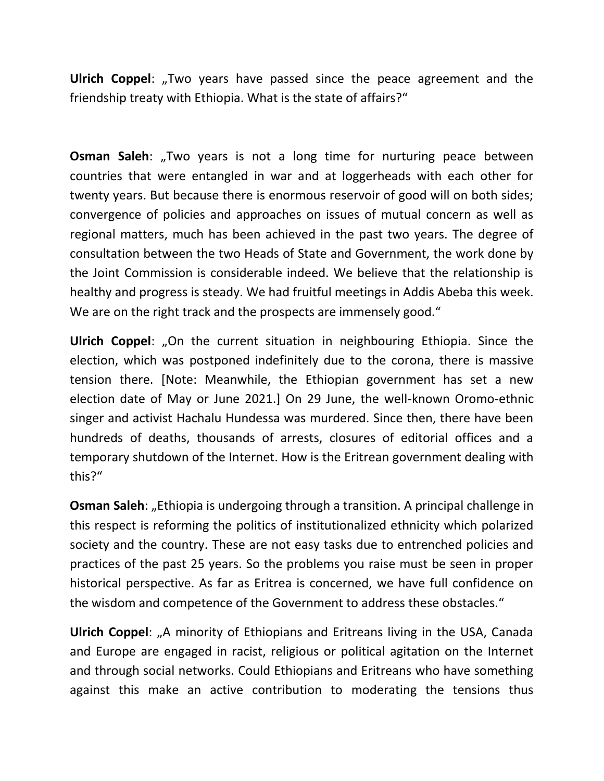**Ulrich Coppel:** "Two years have passed since the peace agreement and the friendship treaty with Ethiopia. What is the state of affairs?"

**Osman Saleh:** "Two years is not a long time for nurturing peace between countries that were entangled in war and at loggerheads with each other for twenty years. But because there is enormous reservoir of good will on both sides; convergence of policies and approaches on issues of mutual concern as well as regional matters, much has been achieved in the past two years. The degree of consultation between the two Heads of State and Government, the work done by the Joint Commission is considerable indeed. We believe that the relationship is healthy and progress is steady. We had fruitful meetings in Addis Abeba this week. We are on the right track and the prospects are immensely good."

**Ulrich Coppel:** "On the current situation in neighbouring Ethiopia. Since the election, which was postponed indefinitely due to the corona, there is massive tension there. [Note: Meanwhile, the Ethiopian government has set a new election date of May or June 2021.] On 29 June, the well-known Oromo-ethnic singer and activist Hachalu Hundessa was murdered. Since then, there have been hundreds of deaths, thousands of arrests, closures of editorial offices and a temporary shutdown of the Internet. How is the Eritrean government dealing with this?"

**Osman Saleh:** "Ethiopia is undergoing through a transition. A principal challenge in this respect is reforming the politics of institutionalized ethnicity which polarized society and the country. These are not easy tasks due to entrenched policies and practices of the past 25 years. So the problems you raise must be seen in proper historical perspective. As far as Eritrea is concerned, we have full confidence on the wisdom and competence of the Government to address these obstacles."

**Ulrich Coppel:** "A minority of Ethiopians and Eritreans living in the USA, Canada and Europe are engaged in racist, religious or political agitation on the Internet and through social networks. Could Ethiopians and Eritreans who have something against this make an active contribution to moderating the tensions thus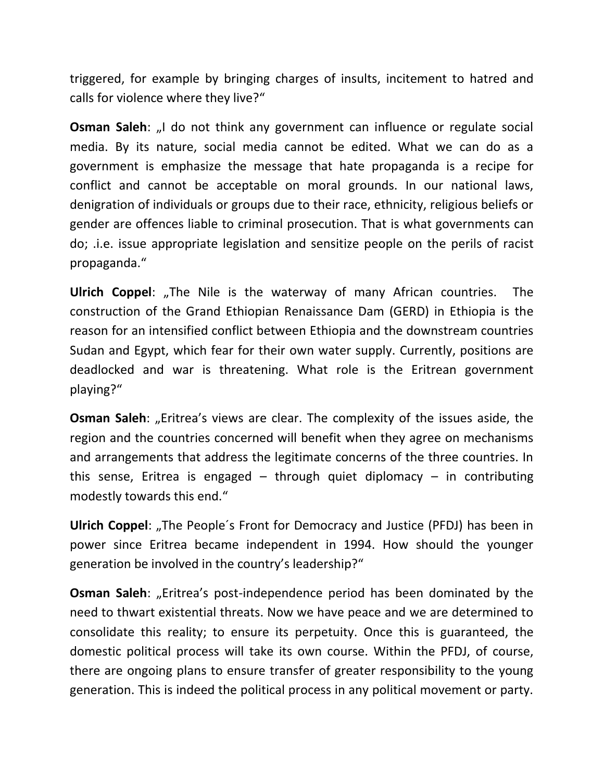triggered, for example by bringing charges of insults, incitement to hatred and calls for violence where they live?"

**Osman Saleh:** "I do not think any government can influence or regulate social media. By its nature, social media cannot be edited. What we can do as a government is emphasize the message that hate propaganda is a recipe for conflict and cannot be acceptable on moral grounds. In our national laws, denigration of individuals or groups due to their race, ethnicity, religious beliefs or gender are offences liable to criminal prosecution. That is what governments can do; .i.e. issue appropriate legislation and sensitize people on the perils of racist propaganda."

**Ulrich Coppel:** "The Nile is the waterway of many African countries. The construction of the Grand Ethiopian Renaissance Dam (GERD) in Ethiopia is the reason for an intensified conflict between Ethiopia and the downstream countries Sudan and Egypt, which fear for their own water supply. Currently, positions are deadlocked and war is threatening. What role is the Eritrean government playing?"

**Osman Saleh:** "Eritrea's views are clear. The complexity of the issues aside, the region and the countries concerned will benefit when they agree on mechanisms and arrangements that address the legitimate concerns of the three countries. In this sense, Eritrea is engaged – through quiet diplomacy – in contributing modestly towards this end."

**Ulrich Coppel:** "The People's Front for Democracy and Justice (PFDJ) has been in power since Eritrea became independent in 1994. How should the younger generation be involved in the country's leadership?"

**Osman Saleh:** "Eritrea's post-independence period has been dominated by the need to thwart existential threats. Now we have peace and we are determined to consolidate this reality; to ensure its perpetuity. Once this is guaranteed, the domestic political process will take its own course. Within the PFDJ, of course, there are ongoing plans to ensure transfer of greater responsibility to the young generation. This is indeed the political process in any political movement or party.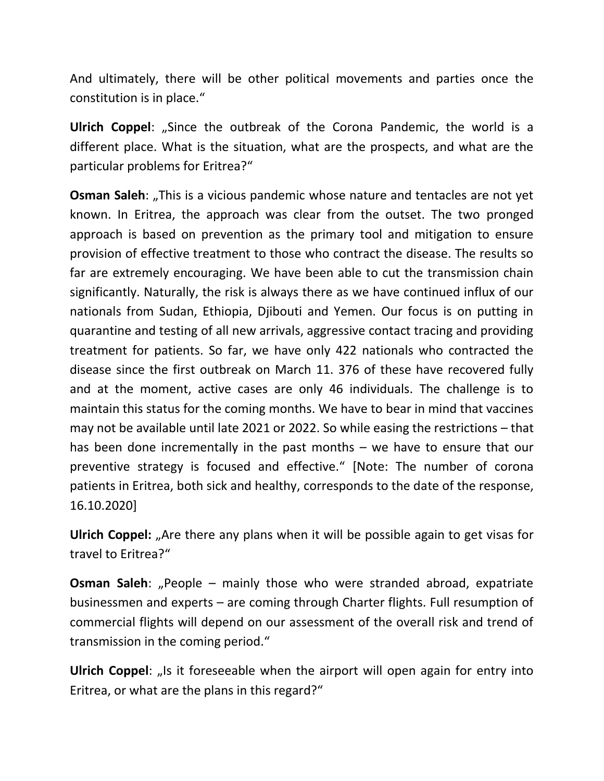And ultimately, there will be other political movements and parties once the constitution is in place."

**Ulrich Coppel:** "Since the outbreak of the Corona Pandemic, the world is a different place. What is the situation, what are the prospects, and what are the particular problems for Eritrea?"

**Osman Saleh:** "This is a vicious pandemic whose nature and tentacles are not yet known. In Eritrea, the approach was clear from the outset. The two pronged approach is based on prevention as the primary tool and mitigation to ensure provision of effective treatment to those who contract the disease. The results so far are extremely encouraging. We have been able to cut the transmission chain significantly. Naturally, the risk is always there as we have continued influx of our nationals from Sudan, Ethiopia, Djibouti and Yemen. Our focus is on putting in quarantine and testing of all new arrivals, aggressive contact tracing and providing treatment for patients. So far, we have only 422 nationals who contracted the disease since the first outbreak on March 11. 376 of these have recovered fully and at the moment, active cases are only 46 individuals. The challenge is to maintain this status for the coming months. We have to bear in mind that vaccines may not be available until late 2021 or 2022. So while easing the restrictions – that has been done incrementally in the past months – we have to ensure that our preventive strategy is focused and effective." [Note: The number of corona patients in Eritrea, both sick and healthy, corresponds to the date of the response, 16.10.2020]

**Ulrich Coppel:** "Are there any plans when it will be possible again to get visas for travel to Eritrea?"

**Osman Saleh:** "People – mainly those who were stranded abroad, expatriate businessmen and experts – are coming through Charter flights. Full resumption of commercial flights will depend on our assessment of the overall risk and trend of transmission in the coming period."

**Ulrich Coppel:** "Is it foreseeable when the airport will open again for entry into Eritrea, or what are the plans in this regard?"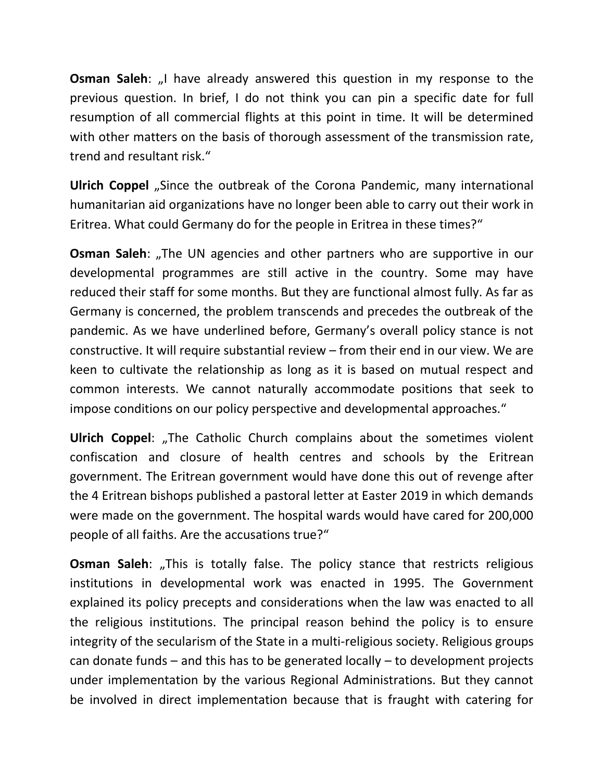**Osman Saleh:** "I have already answered this question in my response to the previous question. In brief, I do not think you can pin a specific date for full resumption of all commercial flights at this point in time. It will be determined with other matters on the basis of thorough assessment of the transmission rate, trend and resultant risk."

**Ulrich Coppel** "Since the outbreak of the Corona Pandemic, many international humanitarian aid organizations have no longer been able to carry out their work in Eritrea. What could Germany do for the people in Eritrea in these times?"

**Osman Saleh:** "The UN agencies and other partners who are supportive in our developmental programmes are still active in the country. Some may have reduced their staff for some months. But they are functional almost fully. As far as Germany is concerned, the problem transcends and precedes the outbreak of the pandemic. As we have underlined before, Germany's overall policy stance is not constructive. It will require substantial review – from their end in our view. We are keen to cultivate the relationship as long as it is based on mutual respect and common interests. We cannot naturally accommodate positions that seek to impose conditions on our policy perspective and developmental approaches."

**Ulrich Coppel:** "The Catholic Church complains about the sometimes violent confiscation and closure of health centres and schools by the Eritrean government. The Eritrean government would have done this out of revenge after the 4 Eritrean bishops published a pastoral letter at Easter 2019 in which demands were made on the government. The hospital wards would have cared for 200,000 people of all faiths. Are the accusations true?"

**Osman Saleh:** "This is totally false. The policy stance that restricts religious institutions in developmental work was enacted in 1995. The Government explained its policy precepts and considerations when the law was enacted to all the religious institutions. The principal reason behind the policy is to ensure integrity of the secularism of the State in a multi-religious society. Religious groups can donate funds – and this has to be generated locally – to development projects under implementation by the various Regional Administrations. But they cannot be involved in direct implementation because that is fraught with catering for